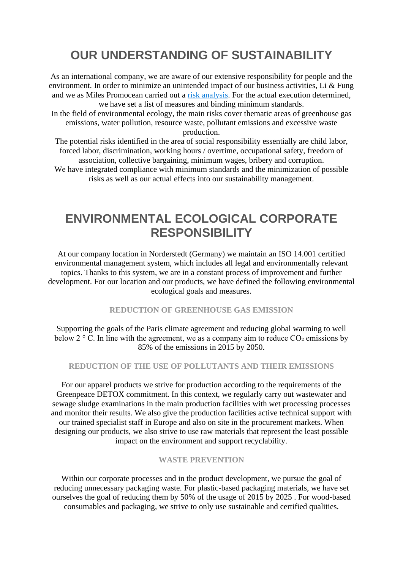# **OUR UNDERSTANDING OF SUSTAINABILITY**

As an international company, we are aware of our extensive responsibility for people and the environment. In order to minimize an unintended impact of our business activities, Li & Fung and we as Miles Promocean carried out a [risk analysis.](https://www.lifung.com/investors/financial-reports-presentations/) For the actual execution determined, we have set a list of measures and binding minimum standards. In the field of environmental ecology, the main risks cover thematic areas of greenhouse gas emissions, water pollution, resource waste, pollutant emissions and excessive waste production.

The potential risks identified in the area of social responsibility essentially are child labor, forced labor, discrimination, working hours / overtime, occupational safety, freedom of association, collective bargaining, minimum wages, bribery and corruption. We have integrated compliance with minimum standards and the minimization of possible risks as well as our actual effects into our sustainability management.

## **ENVIRONMENTAL ECOLOGICAL CORPORATE RESPONSIBILITY**

At our company location in Norderstedt (Germany) we maintain an ISO 14.001 certified environmental management system, which includes all legal and environmentally relevant topics. Thanks to this system, we are in a constant process of improvement and further development. For our location and our products, we have defined the following environmental ecological goals and measures.

### **REDUCTION OF GREENHOUSE GAS EMISSION**

Supporting the goals of the Paris climate agreement and reducing global warming to well below  $2 \degree$  C. In line with the agreement, we as a company aim to reduce  $CO_2$  emissions by 85% of the emissions in 2015 by 2050.

### **REDUCTION OF THE USE OF POLLUTANTS AND THEIR EMISSIONS**

For our apparel products we strive for production according to the requirements of the Greenpeace DETOX commitment. In this context, we regularly carry out wastewater and sewage sludge examinations in the main production facilities with wet processing processes and monitor their results. We also give the production facilities active technical support with our trained specialist staff in Europe and also on site in the procurement markets. When designing our products, we also strive to use raw materials that represent the least possible impact on the environment and support recyclability.

#### **WASTE PREVENTION**

Within our corporate processes and in the product development, we pursue the goal of reducing unnecessary packaging waste. For plastic-based packaging materials, we have set ourselves the goal of reducing them by 50% of the usage of 2015 by 2025 . For wood-based consumables and packaging, we strive to only use sustainable and certified qualities.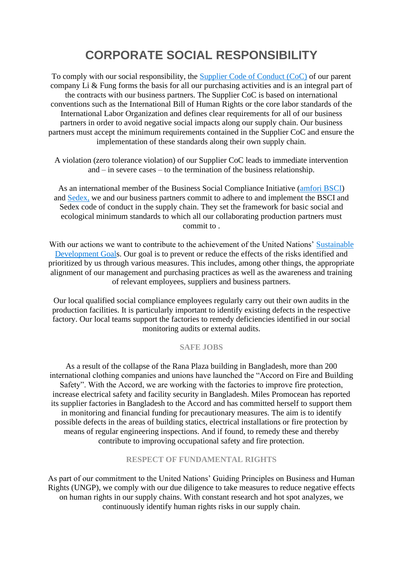# **CORPORATE SOCIAL RESPONSIBILITY**

To comply with our social responsibility, the [Supplier Code of Conduct \(CoC\)](https://www.lifung.com/suppliers/working-with-suppliers/) of our parent company Li & Fung forms the basis for all our purchasing activities and is an integral part of the contracts with our business partners. The Supplier CoC is based on international conventions such as the International Bill of Human Rights or the core labor standards of the International Labor Organization and defines clear requirements for all of our business partners in order to avoid negative social impacts along our supply chain. Our business partners must accept the minimum requirements contained in the Supplier CoC and ensure the implementation of these standards along their own supply chain.

A violation (zero tolerance violation) of our Supplier CoC leads to immediate intervention and – in severe cases – to the termination of the business relationship.

As an international member of the Business Social Compliance Initiative [\(amfori BSCI\)](https://www.amfori.org/content/amfori-bsci) and [Sedex,](https://www.sedexglobal.com/) we and our business partners commit to adhere to and implement the BSCI and Sedex code of conduct in the supply chain. They set the framework for basic social and ecological minimum standards to which all our collaborating production partners must commit to .

With our actions we want to contribute to the achievement of the United Nations' Sustainable [Development Goals](https://sustainabledevelopment.un.org/). Our goal is to prevent or reduce the effects of the risks identified and prioritized by us through various measures. This includes, among other things, the appropriate alignment of our management and purchasing practices as well as the awareness and training of relevant employees, suppliers and business partners.

Our local qualified social compliance employees regularly carry out their own audits in the production facilities. It is particularly important to identify existing defects in the respective factory. Our local teams support the factories to remedy deficiencies identified in our social monitoring audits or external audits.

### **SAFE JOBS**

As a result of the collapse of the Rana Plaza building in Bangladesh, more than 200 international clothing companies and unions have launched the "Accord on Fire and Building Safety". With the Accord, we are working with the factories to improve fire protection, increase electrical safety and facility security in Bangladesh. Miles Promocean has reported its supplier factories in Bangladesh to the Accord and has committed herself to support them in monitoring and financial funding for precautionary measures. The aim is to identify possible defects in the areas of building statics, electrical installations or fire protection by means of regular engineering inspections. And if found, to remedy these and thereby contribute to improving occupational safety and fire protection.

### **RESPECT OF FUNDAMENTAL RIGHTS**

As part of our commitment to the United Nations' Guiding Principles on Business and Human Rights (UNGP), we comply with our due diligence to take measures to reduce negative effects on human rights in our supply chains. With constant research and hot spot analyzes, we continuously identify human rights risks in our supply chain.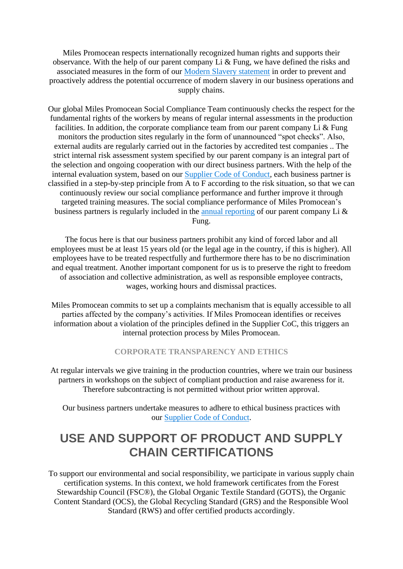Miles Promocean respects internationally recognized human rights and supports their observance. With the help of our parent company Li & Fung, we have defined the risks and associated measures in the form of our [Modern Slavery statement](https://www.lifung.com/wp-content/uploads/2019/08/LF-Modern-Slavery-Statement-2019-FINAL.pdf) in order to prevent and proactively address the potential occurrence of modern slavery in our business operations and supply chains.

Our global Miles Promocean Social Compliance Team continuously checks the respect for the fundamental rights of the workers by means of regular internal assessments in the production facilities. In addition, the corporate compliance team from our parent company Li  $&$  Fung monitors the production sites regularly in the form of unannounced "spot checks". Also, external audits are regularly carried out in the factories by accredited test companies .. The strict internal risk assessment system specified by our parent company is an integral part of the selection and ongoing cooperation with our direct business partners. With the help of the internal evaluation system, based on our [Supplier Code of Conduct,](https://www.lifung.com/suppliers/working-with-suppliers/) each business partner is classified in a step-by-step principle from A to F according to the risk situation, so that we can continuously review our social compliance performance and further improve it through targeted training measures. The social compliance performance of Miles Promocean's business partners is regularly included in the [annual reporting](https://www.lifung.com/investors/financial-reports-presentations/) of our parent company Li & Fung.

The focus here is that our business partners prohibit any kind of forced labor and all employees must be at least 15 years old (or the legal age in the country, if this is higher). All employees have to be treated respectfully and furthermore there has to be no discrimination and equal treatment. Another important component for us is to preserve the right to freedom of association and collective administration, as well as responsible employee contracts, wages, working hours and dismissal practices.

Miles Promocean commits to set up a complaints mechanism that is equally accessible to all parties affected by the company's activities. If Miles Promocean identifies or receives information about a violation of the principles defined in the Supplier CoC, this triggers an internal protection process by Miles Promocean.

### **CORPORATE TRANSPARENCY AND ETHICS**

At regular intervals we give training in the production countries, where we train our business partners in workshops on the subject of compliant production and raise awareness for it. Therefore subcontracting is not permitted without prior written approval.

Our business partners undertake measures to adhere to ethical business practices with our [Supplier Code of Conduct.](https://www.lifung.com/suppliers/working-with-suppliers/)

### **USE AND SUPPORT OF PRODUCT AND SUPPLY CHAIN CERTIFICATIONS**

To support our environmental and social responsibility, we participate in various supply chain certification systems. In this context, we hold framework certificates from the Forest Stewardship Council (FSC®), the Global Organic Textile Standard (GOTS), the Organic Content Standard (OCS), the Global Recycling Standard (GRS) and the Responsible Wool Standard (RWS) and offer certified products accordingly.